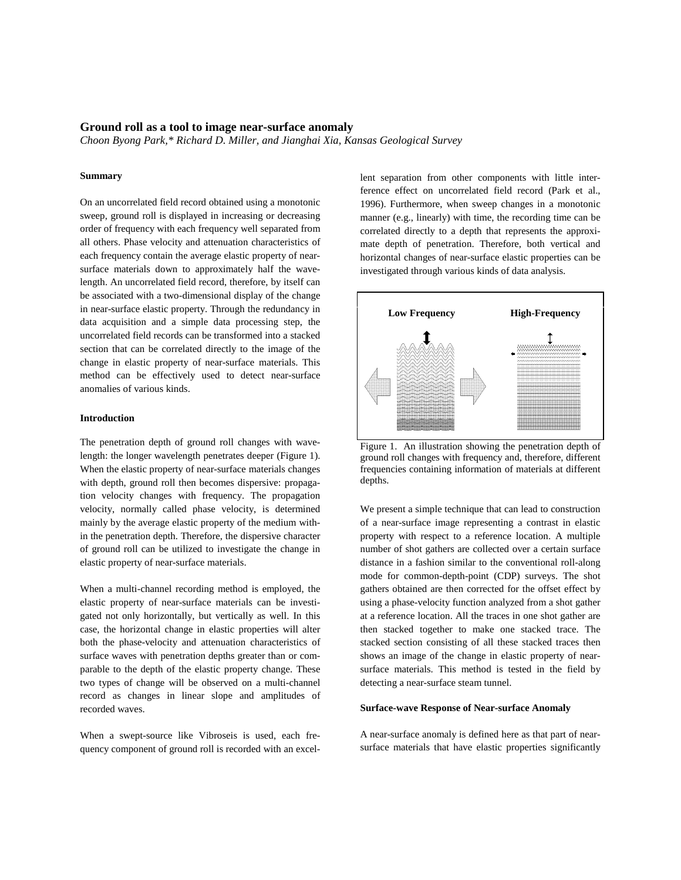## **Ground roll as a tool to image near-surface anomaly**

*Choon Byong Park,\* Richard D. Miller, and Jianghai Xia, Kansas Geological Survey*

### **Summary**

On an uncorrelated field record obtained using a monotonic sweep, ground roll is displayed in increasing or decreasing order of frequency with each frequency well separated from all others. Phase velocity and attenuation characteristics of each frequency contain the average elastic property of nearsurface materials down to approximately half the wavelength. An uncorrelated field record, therefore, by itself can be associated with a two-dimensional display of the change in near-surface elastic property. Through the redundancy in data acquisition and a simple data processing step, the uncorrelated field records can be transformed into a stacked section that can be correlated directly to the image of the change in elastic property of near-surface materials. This method can be effectively used to detect near-surface anomalies of various kinds.

#### **Introduction**

The penetration depth of ground roll changes with wavelength: the longer wavelength penetrates deeper (Figure 1). When the elastic property of near-surface materials changes with depth, ground roll then becomes dispersive: propagation velocity changes with frequency. The propagation velocity, normally called phase velocity, is determined mainly by the average elastic property of the medium within the penetration depth. Therefore, the dispersive character of ground roll can be utilized to investigate the change in elastic property of near-surface materials.

When a multi-channel recording method is employed, the elastic property of near-surface materials can be investigated not only horizontally, but vertically as well. In this case, the horizontal change in elastic properties will alter both the phase-velocity and attenuation characteristics of surface waves with penetration depths greater than or comparable to the depth of the elastic property change. These two types of change will be observed on a multi-channel record as changes in linear slope and amplitudes of recorded waves.

When a swept-source like Vibroseis is used, each frequency component of ground roll is recorded with an excellent separation from other components with little interference effect on uncorrelated field record (Park et al., 1996). Furthermore, when sweep changes in a monotonic manner (e.g., linearly) with time, the recording time can be correlated directly to a depth that represents the approximate depth of penetration. Therefore, both vertical and horizontal changes of near-surface elastic properties can be investigated through various kinds of data analysis.



Figure 1. An illustration showing the penetration depth of ground roll changes with frequency and, therefore, different frequencies containing information of materials at different depths.

We present a simple technique that can lead to construction of a near-surface image representing a contrast in elastic property with respect to a reference location. A multiple number of shot gathers are collected over a certain surface distance in a fashion similar to the conventional roll-along mode for common-depth-point (CDP) surveys. The shot gathers obtained are then corrected for the offset effect by using a phase-velocity function analyzed from a shot gather at a reference location. All the traces in one shot gather are then stacked together to make one stacked trace. The stacked section consisting of all these stacked traces then shows an image of the change in elastic property of nearsurface materials. This method is tested in the field by detecting a near-surface steam tunnel.

## **Surface-wave Response of Near-surface Anomaly**

A near-surface anomaly is defined here as that part of nearsurface materials that have elastic properties significantly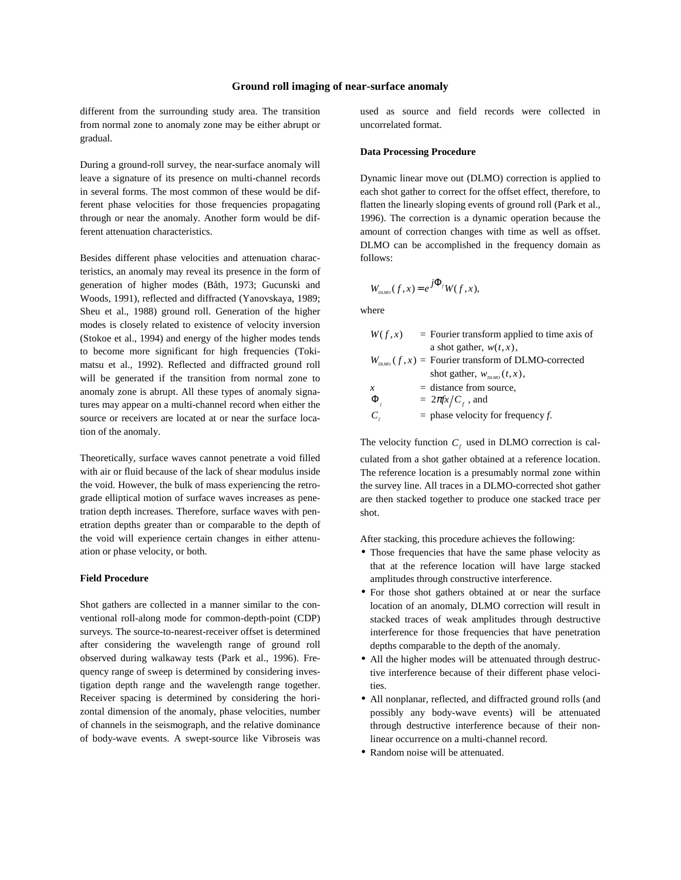### **Ground roll imaging of near-surface anomaly**

different from the surrounding study area. The transition from normal zone to anomaly zone may be either abrupt or gradual.

During a ground-roll survey, the near-surface anomaly will leave a signature of its presence on multi-channel records in several forms. The most common of these would be different phase velocities for those frequencies propagating through or near the anomaly. Another form would be different attenuation characteristics.

Besides different phase velocities and attenuation characteristics, an anomaly may reveal its presence in the form of generation of higher modes (Båth, 1973; Gucunski and Woods, 1991), reflected and diffracted (Yanovskaya, 1989; Sheu et al., 1988) ground roll. Generation of the higher modes is closely related to existence of velocity inversion (Stokoe et al., 1994) and energy of the higher modes tends to become more significant for high frequencies (Tokimatsu et al., 1992). Reflected and diffracted ground roll will be generated if the transition from normal zone to anomaly zone is abrupt. All these types of anomaly signatures may appear on a multi-channel record when either the source or receivers are located at or near the surface location of the anomaly.

Theoretically, surface waves cannot penetrate a void filled with air or fluid because of the lack of shear modulus inside the void. However, the bulk of mass experiencing the retrograde elliptical motion of surface waves increases as penetration depth increases. Therefore, surface waves with penetration depths greater than or comparable to the depth of the void will experience certain changes in either attenuation or phase velocity, or both.

#### **Field Procedure**

Shot gathers are collected in a manner similar to the conventional roll-along mode for common-depth-point (CDP) surveys. The source-to-nearest-receiver offset is determined after considering the wavelength range of ground roll observed during walkaway tests (Park et al., 1996). Frequency range of sweep is determined by considering investigation depth range and the wavelength range together. Receiver spacing is determined by considering the horizontal dimension of the anomaly, phase velocities, number of channels in the seismograph, and the relative dominance of body-wave events. A swept-source like Vibroseis was

used as source and field records were collected in uncorrelated format.

#### **Data Processing Procedure**

Dynamic linear move out (DLMO) correction is applied to each shot gather to correct for the offset effect, therefore, to flatten the linearly sloping events of ground roll (Park et al., 1996). The correction is a dynamic operation because the amount of correction changes with time as well as offset. DLMO can be accomplished in the frequency domain as follows:

$$
W_{\scriptscriptstyle DLMO}(f,x) = e^{j\Phi_f} W(f,x),
$$

where

|                            | $W(f, x)$ = Fourier transform applied to time axis of         |
|----------------------------|---------------------------------------------------------------|
|                            | a shot gather, $w(t, x)$ ,                                    |
|                            | $W_{\text{plMO}}(f, x)$ = Fourier transform of DLMO-corrected |
|                            | shot gather, $w_{\text{num}}(t, x)$ ,                         |
| $\boldsymbol{\chi}$        | $=$ distance from source,                                     |
| $\Phi$                     | $= 2\pi f x/C_f$ , and                                        |
| $C_{\scriptscriptstyle r}$ | = phase velocity for frequency $f$ .                          |

The velocity function  $C_f$  used in DLMO correction is calculated from a shot gather obtained at a reference location. The reference location is a presumably normal zone within the survey line. All traces in a DLMO-corrected shot gather are then stacked together to produce one stacked trace per shot.

After stacking, this procedure achieves the following:

- Those frequencies that have the same phase velocity as that at the reference location will have large stacked amplitudes through constructive interference.
- For those shot gathers obtained at or near the surface location of an anomaly, DLMO correction will result in stacked traces of weak amplitudes through destructive interference for those frequencies that have penetration depths comparable to the depth of the anomaly.
- All the higher modes will be attenuated through destructive interference because of their different phase velocities.
- All nonplanar, reflected, and diffracted ground rolls (and possibly any body-wave events) will be attenuated through destructive interference because of their nonlinear occurrence on a multi-channel record.
- Random noise will be attenuated.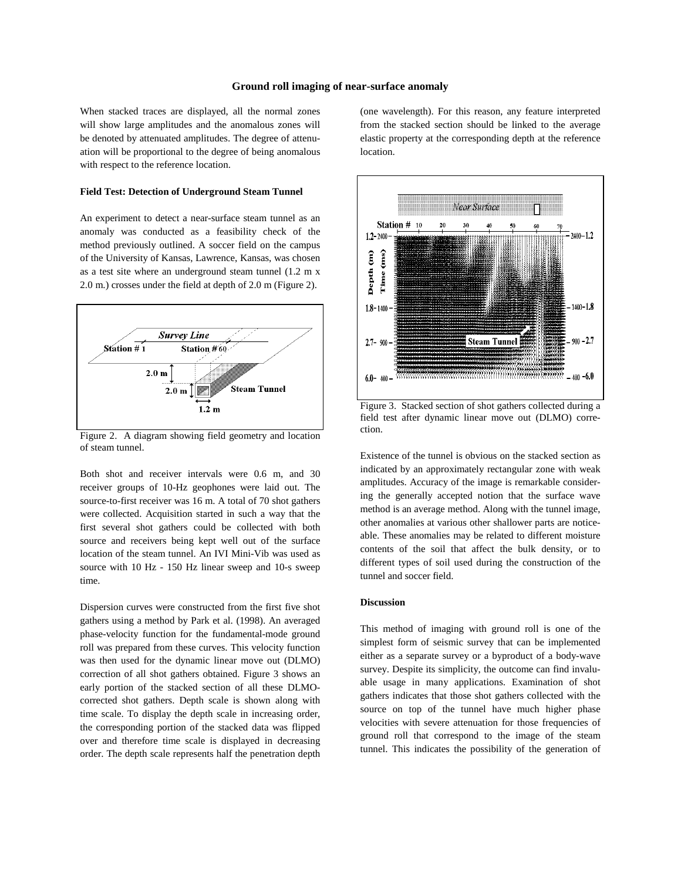When stacked traces are displayed, all the normal zones will show large amplitudes and the anomalous zones will be denoted by attenuated amplitudes. The degree of attenuation will be proportional to the degree of being anomalous with respect to the reference location.

#### **Field Test: Detection of Underground Steam Tunnel**

An experiment to detect a near-surface steam tunnel as an anomaly was conducted as a feasibility check of the method previously outlined. A soccer field on the campus of the University of Kansas, Lawrence, Kansas, was chosen as a test site where an underground steam tunnel (1.2 m x 2.0 m.) crosses under the field at depth of 2.0 m (Figure 2).



Figure 2. A diagram showing field geometry and location of steam tunnel.

Both shot and receiver intervals were 0.6 m, and 30 receiver groups of 10-Hz geophones were laid out. The source-to-first receiver was 16 m. A total of 70 shot gathers were collected. Acquisition started in such a way that the first several shot gathers could be collected with both source and receivers being kept well out of the surface location of the steam tunnel. An IVI Mini-Vib was used as source with 10 Hz - 150 Hz linear sweep and 10-s sweep time.

Dispersion curves were constructed from the first five shot gathers using a method by Park et al. (1998). An averaged phase-velocity function for the fundamental-mode ground roll was prepared from these curves. This velocity function was then used for the dynamic linear move out (DLMO) correction of all shot gathers obtained. Figure 3 shows an early portion of the stacked section of all these DLMOcorrected shot gathers. Depth scale is shown along with time scale. To display the depth scale in increasing order, the corresponding portion of the stacked data was flipped over and therefore time scale is displayed in decreasing order. The depth scale represents half the penetration depth (one wavelength). For this reason, any feature interpreted from the stacked section should be linked to the average elastic property at the corresponding depth at the reference location.



Figure 3. Stacked section of shot gathers collected during a field test after dynamic linear move out (DLMO) correction.

Existence of the tunnel is obvious on the stacked section as indicated by an approximately rectangular zone with weak amplitudes. Accuracy of the image is remarkable considering the generally accepted notion that the surface wave method is an average method. Along with the tunnel image, other anomalies at various other shallower parts are noticeable. These anomalies may be related to different moisture contents of the soil that affect the bulk density, or to different types of soil used during the construction of the tunnel and soccer field.

### **Discussion**

This method of imaging with ground roll is one of the simplest form of seismic survey that can be implemented either as a separate survey or a byproduct of a body-wave survey. Despite its simplicity, the outcome can find invaluable usage in many applications. Examination of shot gathers indicates that those shot gathers collected with the source on top of the tunnel have much higher phase velocities with severe attenuation for those frequencies of ground roll that correspond to the image of the steam tunnel. This indicates the possibility of the generation of